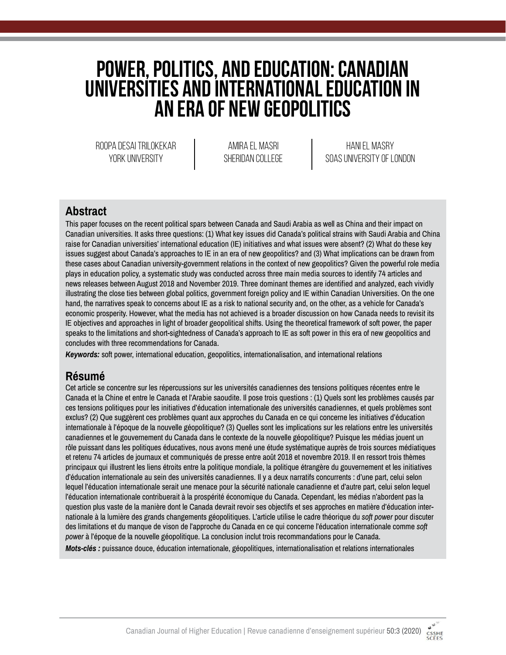# **Power, Politics, and Education: Canadian Universities and International Education in an Era of New Geopolitics**

Roopa Desai Trilokekar YORK UNIVERSITY

Amira El Masri sheridan college

Hani El Masry SOAS University of London

### **Abstract**

This paper focuses on the recent political spars between Canada and Saudi Arabia as well as China and their impact on Canadian universities. It asks three questions: (1) What key issues did Canada's political strains with Saudi Arabia and China raise for Canadian universities' international education (IE) initiatives and what issues were absent? (2) What do these key issues suggest about Canada's approaches to IE in an era of new geopolitics? and (3) What implications can be drawn from these cases about Canadian university-government relations in the context of new geopolitics? Given the powerful role media plays in education policy, a systematic study was conducted across three main media sources to identify 74 articles and news releases between August 2018 and November 2019. Three dominant themes are identified and analyzed, each vividly illustrating the close ties between global politics, government foreign policy and IE within Canadian Universities. On the one hand, the narratives speak to concerns about IE as a risk to national security and, on the other, as a vehicle for Canada's economic prosperity. However, what the media has not achieved is a broader discussion on how Canada needs to revisit its IE objectives and approaches in light of broader geopolitical shifts. Using the theoretical framework of soft power, the paper speaks to the limitations and short-sightedness of Canada's approach to IE as soft power in this era of new geopolitics and concludes with three recommendations for Canada.

*Keywords:* soft power, international education, geopolitics, internationalisation, and international relations

### **Résumé**

Cet article se concentre sur les répercussions sur les universités canadiennes des tensions politiques récentes entre le Canada et la Chine et entre le Canada et l'Arabie saoudite. Il pose trois questions : (1) Quels sont les problèmes causés par ces tensions politiques pour les initiatives d'éducation internationale des universités canadiennes, et quels problèmes sont exclus? (2) Que suggèrent ces problèmes quant aux approches du Canada en ce qui concerne les initiatives d'éducation internationale à l'époque de la nouvelle géopolitique? (3) Quelles sont les implications sur les relations entre les universités canadiennes et le gouvernement du Canada dans le contexte de la nouvelle géopolitique? Puisque les médias jouent un rôle puissant dans les politiques éducatives, nous avons mené une étude systématique auprès de trois sources médiatiques et retenu 74 articles de journaux et communiqués de presse entre août 2018 et novembre 2019. Il en ressort trois thèmes principaux qui illustrent les liens étroits entre la politique mondiale, la politique étrangère du gouvernement et les initiatives d'éducation internationale au sein des universités canadiennes. Il y a deux narratifs concurrents : d'une part, celui selon lequel l'éducation internationale serait une menace pour la sécurité nationale canadienne et d'autre part, celui selon lequel l'éducation internationale contribuerait à la prospérité économique du Canada. Cependant, les médias n'abordent pas la question plus vaste de la manière dont le Canada devrait revoir ses objectifs et ses approches en matière d'éducation internationale à la lumière des grands changements géopolitiques. L'article utilise le cadre théorique du *soft power* pour discuter des limitations et du manque de vison de l'approche du Canada en ce qui concerne l'éducation internationale comme *soft power* à l'époque de la nouvelle géopolitique. La conclusion inclut trois recommandations pour le Canada. *Mots-clés :* puissance douce, éducation internationale, géopolitiques, internationalisation et relations internationales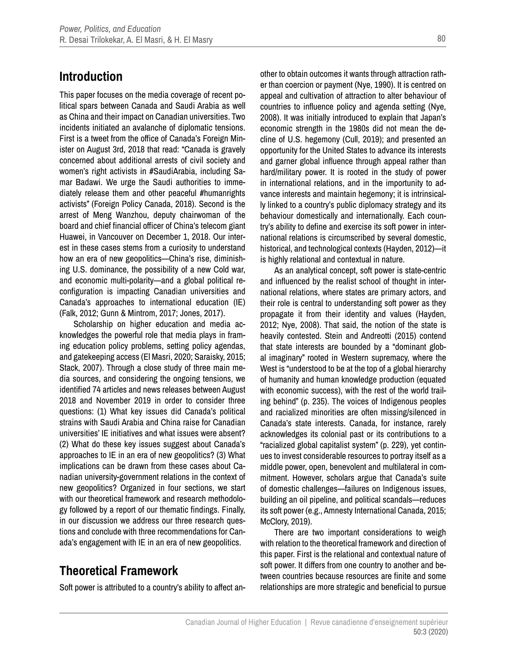### **Introduction**

This paper focuses on the media coverage of recent political spars between Canada and Saudi Arabia as well as China and their impact on Canadian universities. Two incidents initiated an avalanche of diplomatic tensions. First is a tweet from the office of Canada's Foreign Minister on August 3rd, 2018 that read: "Canada is gravely concerned about additional arrests of civil society and women's right activists in #SaudiArabia, including Samar Badawi. We urge the Saudi authorities to immediately release them and other peaceful #humanrights activists" (Foreign Policy Canada, 2018). Second is the arrest of Meng Wanzhou, deputy chairwoman of the board and chief financial officer of China's telecom giant Huawei, in Vancouver on December 1, 2018. Our interest in these cases stems from a curiosity to understand how an era of new geopolitics—China's rise, diminishing U.S. dominance, the possibility of a new Cold war, and economic multi-polarity—and a global political reconfiguration is impacting Canadian universities and Canada's approaches to international education (IE) (Falk, 2012; Gunn & Mintrom, 2017; Jones, 2017).

Scholarship on higher education and media acknowledges the powerful role that media plays in framing education policy problems, setting policy agendas, and gatekeeping access (El Masri, 2020; Saraisky, 2015; Stack, 2007). Through a close study of three main media sources, and considering the ongoing tensions, we identified 74 articles and news releases between August 2018 and November 2019 in order to consider three questions: (1) What key issues did Canada's political strains with Saudi Arabia and China raise for Canadian universities' IE initiatives and what issues were absent? (2) What do these key issues suggest about Canada's approaches to IE in an era of new geopolitics? (3) What implications can be drawn from these cases about Canadian university-government relations in the context of new geopolitics? Organized in four sections, we start with our theoretical framework and research methodology followed by a report of our thematic findings. Finally, in our discussion we address our three research questions and conclude with three recommendations for Canada's engagement with IE in an era of new geopolitics.

## **Theoretical Framework**

Soft power is attributed to a country's ability to affect an-

other to obtain outcomes it wants through attraction rather than coercion or payment (Nye, 1990). It is centred on appeal and cultivation of attraction to alter behaviour of countries to influence policy and agenda setting (Nye, 2008). It was initially introduced to explain that Japan's economic strength in the 1980s did not mean the decline of U.S. hegemony (Cull, 2019); and presented an opportunity for the United States to advance its interests and garner global influence through appeal rather than hard/military power. It is rooted in the study of power in international relations, and in the importunity to advance interests and maintain hegemony; it is intrinsically linked to a country's public diplomacy strategy and its behaviour domestically and internationally. Each country's ability to define and exercise its soft power in international relations is circumscribed by several domestic, historical, and technological contexts (Hayden, 2012)—it is highly relational and contextual in nature.

As an analytical concept, soft power is state-centric and influenced by the realist school of thought in international relations, where states are primary actors, and their role is central to understanding soft power as they propagate it from their identity and values (Hayden, 2012; Nye, 2008). That said, the notion of the state is heavily contested. Stein and Andreotti (2015) contend that state interests are bounded by a "dominant global imaginary" rooted in Western supremacy, where the West is "understood to be at the top of a global hierarchy of humanity and human knowledge production (equated with economic success), with the rest of the world trailing behind" (p. 235). The voices of Indigenous peoples and racialized minorities are often missing/silenced in Canada's state interests. Canada, for instance, rarely acknowledges its colonial past or its contributions to a "racialized global capitalist system" (p. 229), yet continues to invest considerable resources to portray itself as a middle power, open, benevolent and multilateral in commitment. However, scholars argue that Canada's suite of domestic challenges—failures on Indigenous issues, building an oil pipeline, and political scandals—reduces its soft power (e.g., Amnesty International Canada, 2015; McClory, 2019).

There are two important considerations to weigh with relation to the theoretical framework and direction of this paper. First is the relational and contextual nature of soft power. It differs from one country to another and between countries because resources are finite and some relationships are more strategic and beneficial to pursue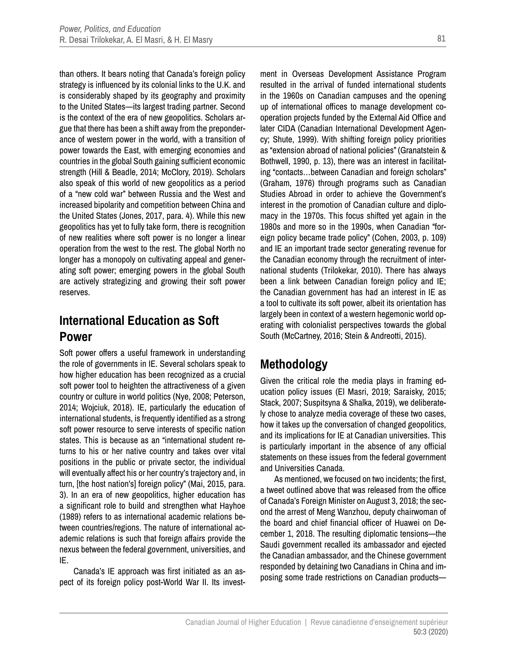than others. It bears noting that Canada's foreign policy strategy is influenced by its colonial links to the U.K. and is considerably shaped by its geography and proximity to the United States—its largest trading partner. Second is the context of the era of new geopolitics. Scholars argue that there has been a shift away from the preponderance of western power in the world, with a transition of power towards the East, with emerging economies and countries in the global South gaining sufficient economic strength (Hill & Beadle, 2014; McClory, 2019). Scholars also speak of this world of new geopolitics as a period of a "new cold war" between Russia and the West and increased bipolarity and competition between China and the United States (Jones, 2017, para. 4). While this new geopolitics has yet to fully take form, there is recognition of new realities where soft power is no longer a linear operation from the west to the rest. The global North no longer has a monopoly on cultivating appeal and generating soft power; emerging powers in the global South are actively strategizing and growing their soft power reserves.

## **International Education as Soft Power**

Soft power offers a useful framework in understanding the role of governments in IE. Several scholars speak to how higher education has been recognized as a crucial soft power tool to heighten the attractiveness of a given country or culture in world politics (Nye, 2008; Peterson, 2014; Wojciuk, 2018). IE, particularly the education of international students, is frequently identified as a strong soft power resource to serve interests of specific nation states. This is because as an "international student returns to his or her native country and takes over vital positions in the public or private sector, the individual will eventually affect his or her country's trajectory and, in turn, [the host nation's] foreign policy" (Mai, 2015, para. 3). In an era of new geopolitics, higher education has a significant role to build and strengthen what Hayhoe (1989) refers to as international academic relations between countries/regions. The nature of international academic relations is such that foreign affairs provide the nexus between the federal government, universities, and IE.

Canada's IE approach was first initiated as an aspect of its foreign policy post-World War II. Its investment in Overseas Development Assistance Program resulted in the arrival of funded international students in the 1960s on Canadian campuses and the opening up of international offices to manage development cooperation projects funded by the External Aid Office and later CIDA (Canadian International Development Agency; Shute, 1999). With shifting foreign policy priorities as "extension abroad of national policies" (Granatstein & Bothwell, 1990, p. 13), there was an interest in facilitating "contacts…between Canadian and foreign scholars" (Graham, 1976) through programs such as Canadian Studies Abroad in order to achieve the Government's interest in the promotion of Canadian culture and diplomacy in the 1970s. This focus shifted yet again in the 1980s and more so in the 1990s, when Canadian "foreign policy became trade policy" (Cohen, 2003, p. 109) and IE an important trade sector generating revenue for the Canadian economy through the recruitment of international students (Trilokekar, 2010). There has always been a link between Canadian foreign policy and IE; the Canadian government has had an interest in IE as a tool to cultivate its soft power, albeit its orientation has largely been in context of a western hegemonic world operating with colonialist perspectives towards the global South (McCartney, 2016; Stein & Andreotti, 2015).

## **Methodology**

Given the critical role the media plays in framing education policy issues (El Masri, 2019; Saraisky, 2015; Stack, 2007; Suspitsyna & Shalka, 2019), we deliberately chose to analyze media coverage of these two cases, how it takes up the conversation of changed geopolitics, and its implications for IE at Canadian universities. This is particularly important in the absence of any official statements on these issues from the federal government and Universities Canada.

As mentioned, we focused on two incidents; the first, a tweet outlined above that was released from the office of Canada's Foreign Minister on August 3, 2018; the second the arrest of Meng Wanzhou, deputy chairwoman of the board and chief financial officer of Huawei on December 1, 2018. The resulting diplomatic tensions—the Saudi government recalled its ambassador and ejected the Canadian ambassador, and the Chinese government responded by detaining two Canadians in China and imposing some trade restrictions on Canadian products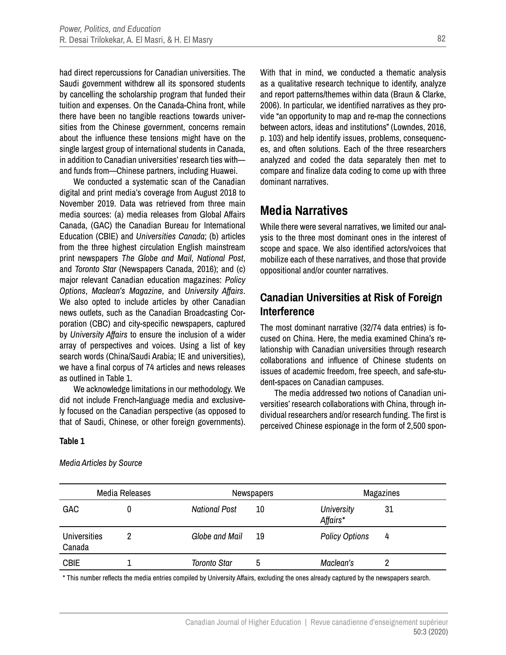had direct repercussions for Canadian universities. The Saudi government withdrew all its sponsored students by cancelling the scholarship program that funded their tuition and expenses. On the Canada-China front, while there have been no tangible reactions towards universities from the Chinese government, concerns remain about the influence these tensions might have on the single largest group of international students in Canada, in addition to Canadian universities' research ties with and funds from—Chinese partners, including Huawei.

We conducted a systematic scan of the Canadian digital and print media's coverage from August 2018 to November 2019. Data was retrieved from three main media sources: (a) media releases from Global Affairs Canada, (GAC) the Canadian Bureau for International Education (CBIE) and *Universities Canada*; (b) articles from the three highest circulation English mainstream print newspapers *The Globe and Mail*, *National Post*, and *Toronto Star* (Newspapers Canada, 2016); and (c) major relevant Canadian education magazines: *Policy Options*, *Maclean's Magazine*, and *University Affairs*. We also opted to include articles by other Canadian news outlets, such as the Canadian Broadcasting Corporation (CBC) and city-specific newspapers, captured by *University Affairs* to ensure the inclusion of a wider array of perspectives and voices. Using a list of key search words (China/Saudi Arabia; IE and universities), we have a final corpus of 74 articles and news releases as outlined in Table 1.

We acknowledge limitations in our methodology. We did not include French-language media and exclusively focused on the Canadian perspective (as opposed to that of Saudi, Chinese, or other foreign governments). With that in mind, we conducted a thematic analysis as a qualitative research technique to identify, analyze and report patterns/themes within data (Braun & Clarke, 2006). In particular, we identified narratives as they provide "an opportunity to map and re-map the connections between actors, ideas and institutions" (Lowndes, 2016, p. 103) and help identify issues, problems, consequences, and often solutions. Each of the three researchers analyzed and coded the data separately then met to compare and finalize data coding to come up with three dominant narratives.

### **Media Narratives**

While there were several narratives, we limited our analysis to the three most dominant ones in the interest of scope and space. We also identified actors/voices that mobilize each of these narratives, and those that provide oppositional and/or counter narratives.

### **Canadian Universities at Risk of Foreign Interference**

The most dominant narrative (32/74 data entries) is focused on China. Here, the media examined China's relationship with Canadian universities through research collaborations and influence of Chinese students on issues of academic freedom, free speech, and safe-student-spaces on Canadian campuses.

The media addressed two notions of Canadian universities' research collaborations with China, through individual researchers and/or research funding. The first is perceived Chinese espionage in the form of 2,500 spon-

#### **Table 1**

| Media Releases                |  |                      | Newspapers |                        | Magazines |  |
|-------------------------------|--|----------------------|------------|------------------------|-----------|--|
| <b>GAC</b>                    |  | <b>National Post</b> | 10         | University<br>Affairs* | 31        |  |
| <b>Universities</b><br>Canada |  | Globe and Mail       | 19         | <b>Policy Options</b>  | 4         |  |
| <b>CBIE</b>                   |  | <b>Toronto Star</b>  | 5          | Maclean's              |           |  |

*Media Articles by Source*

\* This number reflects the media entries compiled by University Affairs, excluding the ones already captured by the newspapers search.

82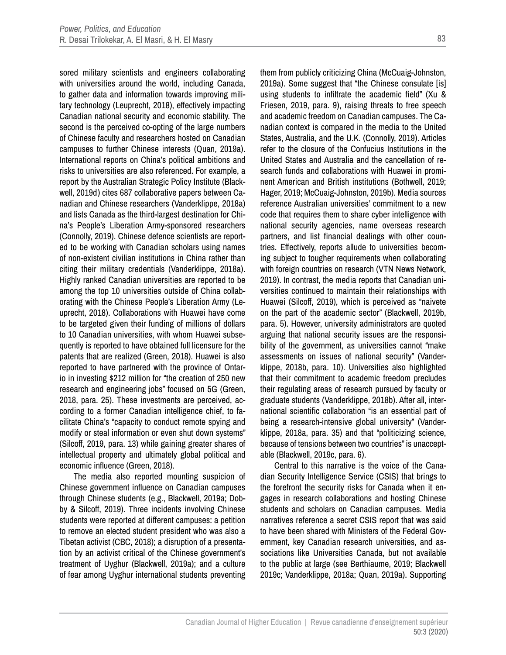sored military scientists and engineers collaborating with universities around the world, including Canada, to gather data and information towards improving military technology (Leuprecht, 2018), effectively impacting Canadian national security and economic stability. The second is the perceived co-opting of the large numbers of Chinese faculty and researchers hosted on Canadian campuses to further Chinese interests (Quan, 2019a). International reports on China's political ambitions and risks to universities are also referenced. For example, a report by the Australian Strategic Policy Institute (Blackwell, 2019d) cites 687 collaborative papers between Canadian and Chinese researchers (Vanderklippe, 2018a) and lists Canada as the third-largest destination for China's People's Liberation Army-sponsored researchers (Connolly, 2019). Chinese defence scientists are reported to be working with Canadian scholars using names of non-existent civilian institutions in China rather than citing their military credentials (Vanderklippe, 2018a). Highly ranked Canadian universities are reported to be among the top 10 universities outside of China collaborating with the Chinese People's Liberation Army (Leuprecht, 2018). Collaborations with Huawei have come to be targeted given their funding of millions of dollars to 10 Canadian universities, with whom Huawei subsequently is reported to have obtained full licensure for the patents that are realized (Green, 2018). Huawei is also reported to have partnered with the province of Ontario in investing \$212 million for "the creation of 250 new research and engineering jobs" focused on 5G (Green, 2018, para. 25). These investments are perceived, according to a former Canadian intelligence chief, to facilitate China's "capacity to conduct remote spying and modify or steal information or even shut down systems" (Silcoff, 2019, para. 13) while gaining greater shares of intellectual property and ultimately global political and economic influence (Green, 2018).

The media also reported mounting suspicion of Chinese government influence on Canadian campuses through Chinese students (e.g., Blackwell, 2019a; Dobby & Silcoff, 2019). Three incidents involving Chinese students were reported at different campuses: a petition to remove an elected student president who was also a Tibetan activist (CBC, 2018); a disruption of a presentation by an activist critical of the Chinese government's treatment of Uyghur (Blackwell, 2019a); and a culture of fear among Uyghur international students preventing

them from publicly criticizing China (McCuaig-Johnston, 2019a). Some suggest that "the Chinese consulate [is] using students to infiltrate the academic field" (Xu & Friesen, 2019, para. 9), raising threats to free speech and academic freedom on Canadian campuses. The Canadian context is compared in the media to the United States, Australia, and the U.K. (Connolly, 2019). Articles refer to the closure of the Confucius Institutions in the United States and Australia and the cancellation of research funds and collaborations with Huawei in prominent American and British institutions (Bothwell, 2019; Hager, 2019; McCuaig-Johnston, 2019b). Media sources reference Australian universities' commitment to a new code that requires them to share cyber intelligence with national security agencies, name overseas research partners, and list financial dealings with other countries. Effectively, reports allude to universities becoming subject to tougher requirements when collaborating with foreign countries on research (VTN News Network, 2019). In contrast, the media reports that Canadian universities continued to maintain their relationships with Huawei (Silcoff, 2019), which is perceived as "naivete on the part of the academic sector" (Blackwell, 2019b, para. 5). However, university administrators are quoted arguing that national security issues are the responsibility of the government, as universities cannot "make assessments on issues of national security" (Vanderklippe, 2018b, para. 10). Universities also highlighted that their commitment to academic freedom precludes their regulating areas of research pursued by faculty or graduate students (Vanderklippe, 2018b). After all, international scientific collaboration "is an essential part of being a research-intensive global university" (Vanderklippe, 2018a, para. 35) and that "politicizing science, because of tensions between two countries" is unacceptable (Blackwell, 2019c, para. 6).

Central to this narrative is the voice of the Canadian Security Intelligence Service (CSIS) that brings to the forefront the security risks for Canada when it engages in research collaborations and hosting Chinese students and scholars on Canadian campuses. Media narratives reference a secret CSIS report that was said to have been shared with Ministers of the Federal Government, key Canadian research universities, and associations like Universities Canada, but not available to the public at large (see Berthiaume, 2019; Blackwell 2019c; Vanderklippe, 2018a; Quan, 2019a). Supporting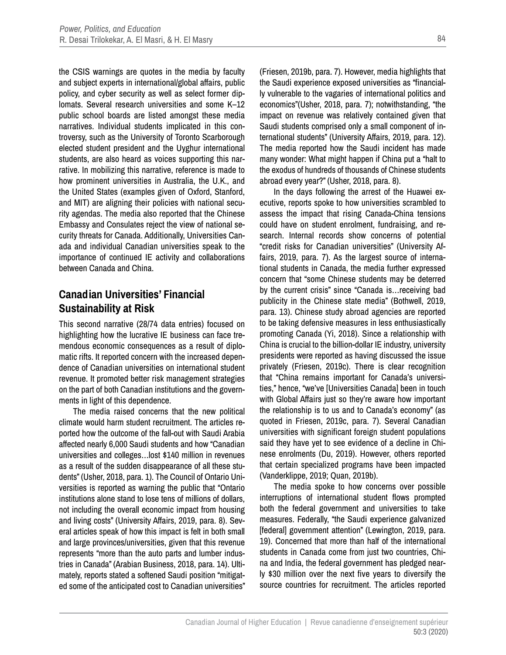the CSIS warnings are quotes in the media by faculty and subject experts in international/global affairs, public policy, and cyber security as well as select former diplomats. Several research universities and some K–12 public school boards are listed amongst these media narratives. Individual students implicated in this controversy, such as the University of Toronto Scarborough elected student president and the Uyghur international students, are also heard as voices supporting this narrative. In mobilizing this narrative, reference is made to how prominent universities in Australia, the U.K., and the United States (examples given of Oxford, Stanford, and MIT) are aligning their policies with national security agendas. The media also reported that the Chinese Embassy and Consulates reject the view of national security threats for Canada. Additionally, Universities Canada and individual Canadian universities speak to the importance of continued IE activity and collaborations between Canada and China.

### **Canadian Universities' Financial Sustainability at Risk**

This second narrative (28/74 data entries) focused on highlighting how the lucrative IE business can face tremendous economic consequences as a result of diplomatic rifts. It reported concern with the increased dependence of Canadian universities on international student revenue. It promoted better risk management strategies on the part of both Canadian institutions and the governments in light of this dependence.

The media raised concerns that the new political climate would harm student recruitment. The articles reported how the outcome of the fall-out with Saudi Arabia affected nearly 6,000 Saudi students and how "Canadian universities and colleges…lost \$140 million in revenues as a result of the sudden disappearance of all these students" (Usher, 2018, para. 1). The Council of Ontario Universities is reported as warning the public that "Ontario institutions alone stand to lose tens of millions of dollars, not including the overall economic impact from housing and living costs" (University Affairs, 2019, para. 8). Several articles speak of how this impact is felt in both small and large provinces/universities, given that this revenue represents "more than the auto parts and lumber industries in Canada" (Arabian Business, 2018, para. 14). Ultimately, reports stated a softened Saudi position "mitigated some of the anticipated cost to Canadian universities" (Friesen, 2019b, para. 7). However, media highlights that the Saudi experience exposed universities as "financially vulnerable to the vagaries of international politics and economics"(Usher, 2018, para. 7); notwithstanding, "the impact on revenue was relatively contained given that Saudi students comprised only a small component of international students" (University Affairs, 2019, para. 12). The media reported how the Saudi incident has made many wonder: What might happen if China put a "halt to the exodus of hundreds of thousands of Chinese students abroad every year?" (Usher, 2018, para. 8).

In the days following the arrest of the Huawei executive, reports spoke to how universities scrambled to assess the impact that rising Canada-China tensions could have on student enrolment, fundraising, and research. Internal records show concerns of potential "credit risks for Canadian universities" (University Affairs, 2019, para. 7). As the largest source of international students in Canada, the media further expressed concern that "some Chinese students may be deterred by the current crisis" since "Canada is…receiving bad publicity in the Chinese state media" (Bothwell, 2019, para. 13). Chinese study abroad agencies are reported to be taking defensive measures in less enthusiastically promoting Canada (Yi, 2018). Since a relationship with China is crucial to the billion-dollar IE industry, university presidents were reported as having discussed the issue privately (Friesen, 2019c). There is clear recognition that "China remains important for Canada's universities," hence, "we've [Universities Canada] been in touch with Global Affairs just so they're aware how important the relationship is to us and to Canada's economy" (as quoted in Friesen, 2019c, para. 7). Several Canadian universities with significant foreign student populations said they have yet to see evidence of a decline in Chinese enrolments (Du, 2019). However, others reported that certain specialized programs have been impacted (Vanderklippe, 2019; Quan, 2019b).

The media spoke to how concerns over possible interruptions of international student flows prompted both the federal government and universities to take measures. Federally, "the Saudi experience galvanized [federal] government attention" (Lewington, 2019, para. 19). Concerned that more than half of the international students in Canada come from just two countries, China and India, the federal government has pledged nearly \$30 million over the next five years to diversify the source countries for recruitment. The articles reported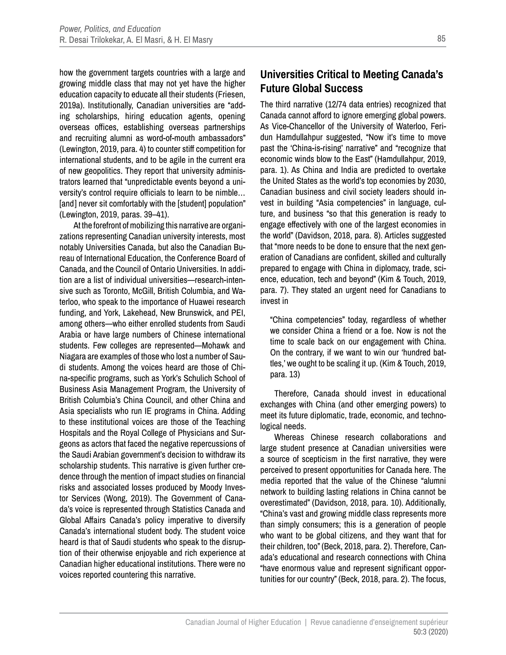how the government targets countries with a large and growing middle class that may not yet have the higher education capacity to educate all their students (Friesen, 2019a). Institutionally, Canadian universities are "adding scholarships, hiring education agents, opening overseas offices, establishing overseas partnerships and recruiting alumni as word-of-mouth ambassadors" (Lewington, 2019, para. 4) to counter stiff competition for international students, and to be agile in the current era of new geopolitics. They report that university administrators learned that "unpredictable events beyond a university's control require officials to learn to be nimble… [and] never sit comfortably with the [student] population" (Lewington, 2019, paras. 39–41).

At the forefront of mobilizing this narrative are organizations representing Canadian university interests, most notably Universities Canada, but also the Canadian Bureau of International Education, the Conference Board of Canada, and the Council of Ontario Universities. In addition are a list of individual universities—research-intensive such as Toronto, McGill, British Columbia, and Waterloo, who speak to the importance of Huawei research funding, and York, Lakehead, New Brunswick, and PEI, among others—who either enrolled students from Saudi Arabia or have large numbers of Chinese international students. Few colleges are represented—Mohawk and Niagara are examples of those who lost a number of Saudi students. Among the voices heard are those of China-specific programs, such as York's Schulich School of Business Asia Management Program, the University of British Columbia's China Council, and other China and Asia specialists who run IE programs in China. Adding to these institutional voices are those of the Teaching Hospitals and the Royal College of Physicians and Surgeons as actors that faced the negative repercussions of the Saudi Arabian government's decision to withdraw its scholarship students. This narrative is given further credence through the mention of impact studies on financial risks and associated losses produced by Moody Investor Services (Wong, 2019). The Government of Canada's voice is represented through Statistics Canada and Global Affairs Canada's policy imperative to diversify Canada's international student body. The student voice heard is that of Saudi students who speak to the disruption of their otherwise enjoyable and rich experience at Canadian higher educational institutions. There were no voices reported countering this narrative.

### **Universities Critical to Meeting Canada's Future Global Success**

The third narrative (12/74 data entries) recognized that Canada cannot afford to ignore emerging global powers. As Vice-Chancellor of the University of Waterloo, Feridun Hamdullahpur suggested, "Now it's time to move past the 'China-is-rising' narrative" and "recognize that economic winds blow to the East" (Hamdullahpur, 2019, para. 1). As China and India are predicted to overtake the United States as the world's top economies by 2030, Canadian business and civil society leaders should invest in building "Asia competencies" in language, culture, and business "so that this generation is ready to engage effectively with one of the largest economies in the world" (Davidson, 2018, para. 8). Articles suggested that "more needs to be done to ensure that the next generation of Canadians are confident, skilled and culturally prepared to engage with China in diplomacy, trade, science, education, tech and beyond" (Kim & Touch, 2019, para. 7). They stated an urgent need for Canadians to invest in

"China competencies" today, regardless of whether we consider China a friend or a foe. Now is not the time to scale back on our engagement with China. On the contrary, if we want to win our 'hundred battles,' we ought to be scaling it up. (Kim & Touch, 2019, para. 13)

Therefore, Canada should invest in educational exchanges with China (and other emerging powers) to meet its future diplomatic, trade, economic, and technological needs.

Whereas Chinese research collaborations and large student presence at Canadian universities were a source of scepticism in the first narrative, they were perceived to present opportunities for Canada here. The media reported that the value of the Chinese "alumni network to building lasting relations in China cannot be overestimated" (Davidson, 2018, para. 10). Additionally, "China's vast and growing middle class represents more than simply consumers; this is a generation of people who want to be global citizens, and they want that for their children, too" (Beck, 2018, para. 2). Therefore, Canada's educational and research connections with China "have enormous value and represent significant opportunities for our country" (Beck, 2018, para. 2). The focus,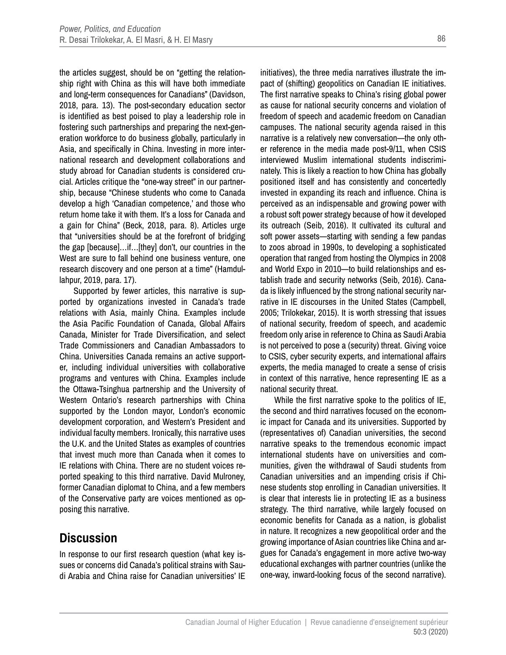the articles suggest, should be on "getting the relationship right with China as this will have both immediate and long-term consequences for Canadians" (Davidson, 2018, para. 13). The post-secondary education sector is identified as best poised to play a leadership role in fostering such partnerships and preparing the next-generation workforce to do business globally, particularly in Asia, and specifically in China. Investing in more international research and development collaborations and study abroad for Canadian students is considered crucial. Articles critique the "one-way street" in our partnership, because "Chinese students who come to Canada develop a high 'Canadian competence,' and those who return home take it with them. It's a loss for Canada and a gain for China" (Beck, 2018, para. 8). Articles urge that "universities should be at the forefront of bridging the gap [because]…if…[they] don't, our countries in the West are sure to fall behind one business venture, one research discovery and one person at a time" (Hamdullahpur, 2019, para. 17).

Supported by fewer articles, this narrative is supported by organizations invested in Canada's trade relations with Asia, mainly China. Examples include the Asia Pacific Foundation of Canada, Global Affairs Canada, Minister for Trade Diversification, and select Trade Commissioners and Canadian Ambassadors to China. Universities Canada remains an active supporter, including individual universities with collaborative programs and ventures with China. Examples include the Ottawa-Tsinghua partnership and the University of Western Ontario's research partnerships with China supported by the London mayor, London's economic development corporation, and Western's President and individual faculty members. Ironically, this narrative uses the U.K. and the United States as examples of countries that invest much more than Canada when it comes to IE relations with China. There are no student voices reported speaking to this third narrative. David Mulroney, former Canadian diplomat to China, and a few members of the Conservative party are voices mentioned as opposing this narrative.

### **Discussion**

In response to our first research question (what key issues or concerns did Canada's political strains with Saudi Arabia and China raise for Canadian universities' IE initiatives), the three media narratives illustrate the impact of (shifting) geopolitics on Canadian IE initiatives. The first narrative speaks to China's rising global power as cause for national security concerns and violation of freedom of speech and academic freedom on Canadian campuses. The national security agenda raised in this narrative is a relatively new conversation—the only other reference in the media made post-9/11, when CSIS interviewed Muslim international students indiscriminately. This is likely a reaction to how China has globally positioned itself and has consistently and concertedly invested in expanding its reach and influence. China is perceived as an indispensable and growing power with a robust soft power strategy because of how it developed its outreach (Seib, 2016). It cultivated its cultural and soft power assets—starting with sending a few pandas to zoos abroad in 1990s, to developing a sophisticated operation that ranged from hosting the Olympics in 2008 and World Expo in 2010—to build relationships and establish trade and security networks (Seib, 2016). Canada is likely influenced by the strong national security narrative in IE discourses in the United States (Campbell, 2005; Trilokekar, 2015). It is worth stressing that issues of national security, freedom of speech, and academic freedom only arise in reference to China as Saudi Arabia is not perceived to pose a (security) threat. Giving voice to CSIS, cyber security experts, and international affairs experts, the media managed to create a sense of crisis in context of this narrative, hence representing IE as a national security threat.

While the first narrative spoke to the politics of IE, the second and third narratives focused on the economic impact for Canada and its universities. Supported by (representatives of) Canadian universities, the second narrative speaks to the tremendous economic impact international students have on universities and communities, given the withdrawal of Saudi students from Canadian universities and an impending crisis if Chinese students stop enrolling in Canadian universities. It is clear that interests lie in protecting IE as a business strategy. The third narrative, while largely focused on economic benefits for Canada as a nation, is globalist in nature. It recognizes a new geopolitical order and the growing importance of Asian countries like China and argues for Canada's engagement in more active two-way educational exchanges with partner countries (unlike the one-way, inward-looking focus of the second narrative).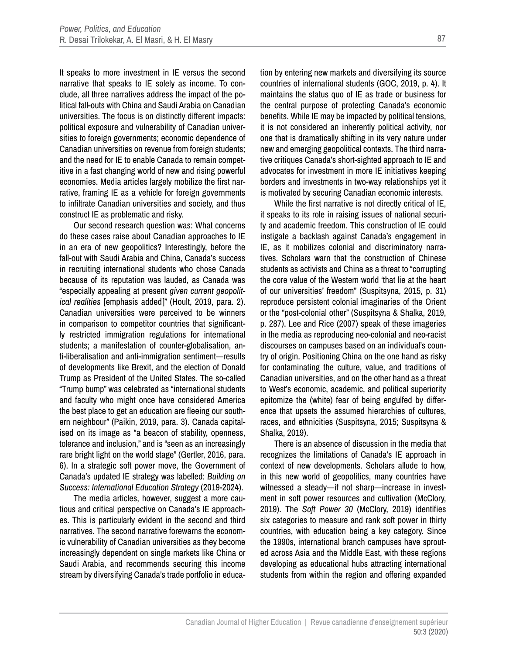It speaks to more investment in IE versus the second narrative that speaks to IE solely as income. To conclude, all three narratives address the impact of the political fall-outs with China and Saudi Arabia on Canadian universities. The focus is on distinctly different impacts: political exposure and vulnerability of Canadian universities to foreign governments; economic dependence of Canadian universities on revenue from foreign students; and the need for IE to enable Canada to remain competitive in a fast changing world of new and rising powerful economies. Media articles largely mobilize the first narrative, framing IE as a vehicle for foreign governments to infiltrate Canadian universities and society, and thus construct IE as problematic and risky.

Our second research question was: What concerns do these cases raise about Canadian approaches to IE in an era of new geopolitics? Interestingly, before the fall-out with Saudi Arabia and China, Canada's success in recruiting international students who chose Canada because of its reputation was lauded, as Canada was "especially appealing at present *given current geopolitical realities* [emphasis added]" (Hoult, 2019, para. 2). Canadian universities were perceived to be winners in comparison to competitor countries that significantly restricted immigration regulations for international students; a manifestation of counter-globalisation, anti-liberalisation and anti-immigration sentiment—results of developments like Brexit, and the election of Donald Trump as President of the United States. The so-called "Trump bump" was celebrated as "international students and faculty who might once have considered America the best place to get an education are fleeing our southern neighbour" (Paikin, 2019, para. 3). Canada capitalised on its image as "a beacon of stability, openness, tolerance and inclusion," and is "seen as an increasingly rare bright light on the world stage" (Gertler, 2016, para. 6). In a strategic soft power move, the Government of Canada's updated IE strategy was labelled: *Building on Success: International Education Strategy* (2019-2024).

The media articles, however, suggest a more cautious and critical perspective on Canada's IE approaches. This is particularly evident in the second and third narratives. The second narrative forewarns the economic vulnerability of Canadian universities as they become increasingly dependent on single markets like China or Saudi Arabia, and recommends securing this income stream by diversifying Canada's trade portfolio in education by entering new markets and diversifying its source countries of international students (GOC, 2019, p. 4). It maintains the status quo of IE as trade or business for the central purpose of protecting Canada's economic benefits. While IE may be impacted by political tensions, it is not considered an inherently political activity, nor one that is dramatically shifting in its very nature under new and emerging geopolitical contexts. The third narrative critiques Canada's short-sighted approach to IE and advocates for investment in more IE initiatives keeping borders and investments in two-way relationships yet it is motivated by securing Canadian economic interests.

While the first narrative is not directly critical of IE, it speaks to its role in raising issues of national security and academic freedom. This construction of IE could instigate a backlash against Canada's engagement in IE, as it mobilizes colonial and discriminatory narratives. Scholars warn that the construction of Chinese students as activists and China as a threat to "corrupting the core value of the Western world 'that lie at the heart of our universities' freedom" (Suspitsyna, 2015, p. 31) reproduce persistent colonial imaginaries of the Orient or the "post-colonial other" (Suspitsyna & Shalka, 2019, p. 287). Lee and Rice (2007) speak of these imageries in the media as reproducing neo-colonial and neo-racist discourses on campuses based on an individual's country of origin. Positioning China on the one hand as risky for contaminating the culture, value, and traditions of Canadian universities, and on the other hand as a threat to West's economic, academic, and political superiority epitomize the (white) fear of being engulfed by difference that upsets the assumed hierarchies of cultures, races, and ethnicities (Suspitsyna, 2015; Suspitsyna & Shalka, 2019).

There is an absence of discussion in the media that recognizes the limitations of Canada's IE approach in context of new developments. Scholars allude to how, in this new world of geopolitics, many countries have witnessed a steady—if not sharp—increase in investment in soft power resources and cultivation (McClory, 2019). The *Soft Power 30* (McClory, 2019) identifies six categories to measure and rank soft power in thirty countries, with education being a key category. Since the 1990s, international branch campuses have sprouted across Asia and the Middle East, with these regions developing as educational hubs attracting international students from within the region and offering expanded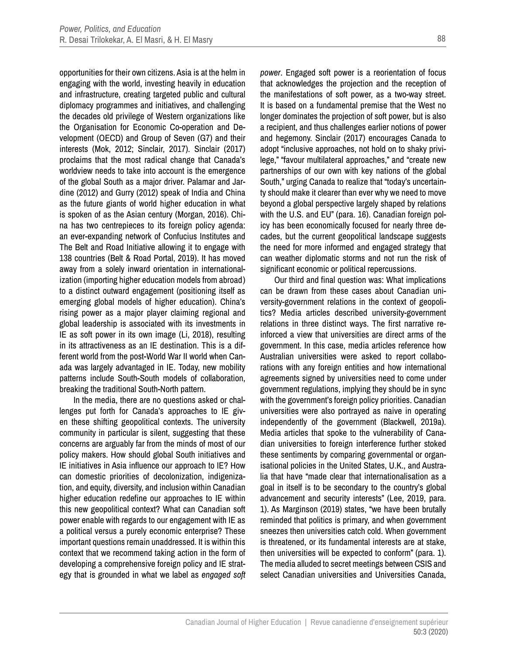opportunities for their own citizens. Asia is at the helm in engaging with the world, investing heavily in education and infrastructure, creating targeted public and cultural diplomacy programmes and initiatives, and challenging the decades old privilege of Western organizations like the Organisation for Economic Co-operation and Development (OECD) and Group of Seven (G7) and their interests (Mok, 2012; Sinclair, 2017). Sinclair (2017) proclaims that the most radical change that Canada's worldview needs to take into account is the emergence of the global South as a major driver. Palamar and Jardine (2012) and Gurry (2012) speak of India and China as the future giants of world higher education in what is spoken of as the Asian century (Morgan, 2016). China has two centrepieces to its foreign policy agenda: an ever-expanding network of Confucius Institutes and The Belt and Road Initiative allowing it to engage with 138 countries (Belt & Road Portal, 2019). It has moved away from a solely inward orientation in internationalization (importing higher education models from abroad) to a distinct outward engagement (positioning itself as emerging global models of higher education). China's rising power as a major player claiming regional and global leadership is associated with its investments in IE as soft power in its own image (Li, 2018), resulting in its attractiveness as an IE destination. This is a different world from the post-World War II world when Canada was largely advantaged in IE. Today, new mobility patterns include South-South models of collaboration, breaking the traditional South-North pattern.

In the media, there are no questions asked or challenges put forth for Canada's approaches to IE given these shifting geopolitical contexts. The university community in particular is silent, suggesting that these concerns are arguably far from the minds of most of our policy makers. How should global South initiatives and IE initiatives in Asia influence our approach to IE? How can domestic priorities of decolonization, indigenization, and equity, diversity, and inclusion within Canadian higher education redefine our approaches to IE within this new geopolitical context? What can Canadian soft power enable with regards to our engagement with IE as a political versus a purely economic enterprise? These important questions remain unaddressed. It is within this context that we recommend taking action in the form of developing a comprehensive foreign policy and IE strategy that is grounded in what we label as *engaged soft*  *power*. Engaged soft power is a reorientation of focus that acknowledges the projection and the reception of the manifestations of soft power, as a two-way street. It is based on a fundamental premise that the West no longer dominates the projection of soft power, but is also a recipient, and thus challenges earlier notions of power and hegemony. Sinclair (2017) encourages Canada to adopt "inclusive approaches, not hold on to shaky privilege," "favour multilateral approaches," and "create new partnerships of our own with key nations of the global South," urging Canada to realize that "today's uncertainty should make it clearer than ever why we need to move beyond a global perspective largely shaped by relations with the U.S. and EU" (para. 16). Canadian foreign policy has been economically focused for nearly three decades, but the current geopolitical landscape suggests the need for more informed and engaged strategy that can weather diplomatic storms and not run the risk of significant economic or political repercussions.

Our third and final question was: What implications can be drawn from these cases about Canadian university-government relations in the context of geopolitics? Media articles described university-government relations in three distinct ways. The first narrative reinforced a view that universities are direct arms of the government. In this case, media articles reference how Australian universities were asked to report collaborations with any foreign entities and how international agreements signed by universities need to come under government regulations, implying they should be in sync with the government's foreign policy priorities. Canadian universities were also portrayed as naive in operating independently of the government (Blackwell, 2019a). Media articles that spoke to the vulnerability of Canadian universities to foreign interference further stoked these sentiments by comparing governmental or organisational policies in the United States, U.K., and Australia that have "made clear that internationalisation as a goal in itself is to be secondary to the country's global advancement and security interests" (Lee, 2019, para. 1). As Marginson (2019) states, "we have been brutally reminded that politics is primary, and when government sneezes then universities catch cold. When government is threatened, or its fundamental interests are at stake, then universities will be expected to conform" (para. 1). The media alluded to secret meetings between CSIS and select Canadian universities and Universities Canada,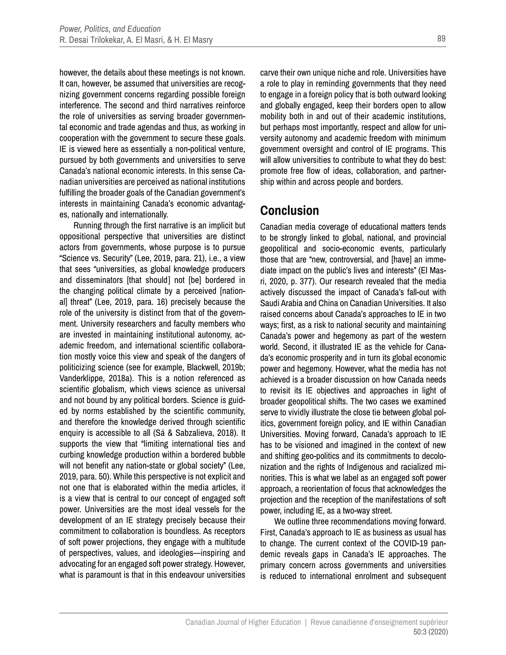however, the details about these meetings is not known. It can, however, be assumed that universities are recognizing government concerns regarding possible foreign interference. The second and third narratives reinforce the role of universities as serving broader governmental economic and trade agendas and thus, as working in cooperation with the government to secure these goals. IE is viewed here as essentially a non-political venture, pursued by both governments and universities to serve Canada's national economic interests. In this sense Canadian universities are perceived as national institutions fulfilling the broader goals of the Canadian government's interests in maintaining Canada's economic advantages, nationally and internationally.

Running through the first narrative is an implicit but oppositional perspective that universities are distinct actors from governments, whose purpose is to pursue "Science vs. Security" (Lee, 2019, para. 21), i.e., a view that sees "universities, as global knowledge producers and disseminators [that should] not [be] bordered in the changing political climate by a perceived [national] threat" (Lee, 2019, para. 16) precisely because the role of the university is distinct from that of the government. University researchers and faculty members who are invested in maintaining institutional autonomy, academic freedom, and international scientific collaboration mostly voice this view and speak of the dangers of politicizing science (see for example, Blackwell, 2019b; Vanderklippe, 2018a). This is a notion referenced as scientific globalism, which views science as universal and not bound by any political borders. Science is guided by norms established by the scientific community, and therefore the knowledge derived through scientific enquiry is accessible to all (Sá & Sabzalieva, 2018). It supports the view that "limiting international ties and curbing knowledge production within a bordered bubble will not benefit any nation-state or global society" (Lee, 2019, para. 50). While this perspective is not explicit and not one that is elaborated within the media articles, it is a view that is central to our concept of engaged soft power. Universities are the most ideal vessels for the development of an IE strategy precisely because their commitment to collaboration is boundless. As receptors of soft power projections, they engage with a multitude of perspectives, values, and ideologies—inspiring and advocating for an engaged soft power strategy. However, what is paramount is that in this endeavour universities

carve their own unique niche and role. Universities have a role to play in reminding governments that they need to engage in a foreign policy that is both outward looking and globally engaged, keep their borders open to allow mobility both in and out of their academic institutions, but perhaps most importantly, respect and allow for university autonomy and academic freedom with minimum government oversight and control of IE programs. This will allow universities to contribute to what they do best: promote free flow of ideas, collaboration, and partnership within and across people and borders.

### **Conclusion**

Canadian media coverage of educational matters tends to be strongly linked to global, national, and provincial geopolitical and socio-economic events, particularly those that are "new, controversial, and [have] an immediate impact on the public's lives and interests" (El Masri, 2020, p. 377). Our research revealed that the media actively discussed the impact of Canada's fall-out with Saudi Arabia and China on Canadian Universities. It also raised concerns about Canada's approaches to IE in two ways; first, as a risk to national security and maintaining Canada's power and hegemony as part of the western world. Second, it illustrated IE as the vehicle for Canada's economic prosperity and in turn its global economic power and hegemony. However, what the media has not achieved is a broader discussion on how Canada needs to revisit its IE objectives and approaches in light of broader geopolitical shifts. The two cases we examined serve to vividly illustrate the close tie between global politics, government foreign policy, and IE within Canadian Universities. Moving forward, Canada's approach to IE has to be visioned and imagined in the context of new and shifting geo-politics and its commitments to decolonization and the rights of Indigenous and racialized minorities. This is what we label as an engaged soft power approach, a reorientation of focus that acknowledges the projection and the reception of the manifestations of soft power, including IE, as a two-way street.

We outline three recommendations moving forward. First, Canada's approach to IE as business as usual has to change. The current context of the COVID-19 pandemic reveals gaps in Canada's IE approaches. The primary concern across governments and universities is reduced to international enrolment and subsequent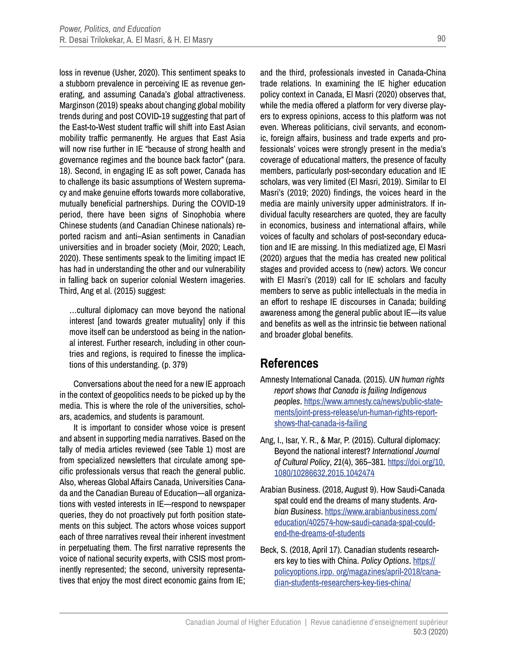loss in revenue (Usher, 2020). This sentiment speaks to a stubborn prevalence in perceiving IE as revenue generating, and assuming Canada's global attractiveness. Marginson (2019) speaks about changing global mobility trends during and post COVID-19 suggesting that part of the East-to-West student traffic will shift into East Asian mobility traffic permanently. He argues that East Asia will now rise further in IE "because of strong health and governance regimes and the bounce back factor" (para. 18). Second, in engaging IE as soft power, Canada has to challenge its basic assumptions of Western supremacy and make genuine efforts towards more collaborative, mutually beneficial partnerships. During the COVID-19 period, there have been signs of Sinophobia where Chinese students (and Canadian Chinese nationals) reported racism and anti–Asian sentiments in Canadian universities and in broader society (Moir, 2020; Leach, 2020). These sentiments speak to the limiting impact IE has had in understanding the other and our vulnerability in falling back on superior colonial Western imageries. Third, Ang et al. (2015) suggest:

…cultural diplomacy can move beyond the national interest [and towards greater mutuality] only if this move itself can be understood as being in the national interest. Further research, including in other countries and regions, is required to finesse the implications of this understanding. (p. 379)

Conversations about the need for a new IE approach in the context of geopolitics needs to be picked up by the media. This is where the role of the universities, scholars, academics, and students is paramount.

It is important to consider whose voice is present and absent in supporting media narratives. Based on the tally of media articles reviewed (see Table 1) most are from specialized newsletters that circulate among specific professionals versus that reach the general public. Also, whereas Global Affairs Canada, Universities Canada and the Canadian Bureau of Education—all organizations with vested interests in IE—respond to newspaper queries, they do not proactively put forth position statements on this subject. The actors whose voices support each of three narratives reveal their inherent investment in perpetuating them. The first narrative represents the voice of national security experts, with CSIS most prominently represented; the second, university representatives that enjoy the most direct economic gains from IE;

and the third, professionals invested in Canada-China trade relations. In examining the IE higher education policy context in Canada, El Masri (2020) observes that, while the media offered a platform for very diverse players to express opinions, access to this platform was not even. Whereas politicians, civil servants, and economic, foreign affairs, business and trade experts and professionals' voices were strongly present in the media's coverage of educational matters, the presence of faculty members, particularly post-secondary education and IE scholars, was very limited (El Masri, 2019). Similar to El Masri's (2019; 2020) findings, the voices heard in the media are mainly university upper administrators. If individual faculty researchers are quoted, they are faculty in economics, business and international affairs, while voices of faculty and scholars of post-secondary education and IE are missing. In this mediatized age, El Masri (2020) argues that the media has created new political stages and provided access to (new) actors. We concur with El Masri's (2019) call for IE scholars and faculty members to serve as public intellectuals in the media in an effort to reshape IE discourses in Canada; building awareness among the general public about IE—its value and benefits as well as the intrinsic tie between national and broader global benefits.

### **References**

- Amnesty International Canada. (2015). *UN human rights report shows that Canada is failing Indigenous peoples*. [https://www.amnesty.ca/news/public-state](https://www.amnesty.ca/news/public-statements/joint-press-release/un-human-rights-report-shows-that-canada-is-failing)[ments/joint-press-release/un-human-rights-report](https://www.amnesty.ca/news/public-statements/joint-press-release/un-human-rights-report-shows-that-canada-is-failing)[shows-that-canada-is-failing](https://www.amnesty.ca/news/public-statements/joint-press-release/un-human-rights-report-shows-that-canada-is-failing)
- Ang, I., Isar, Y. R., & Mar, P. (2015). Cultural diplomacy: Beyond the national interest? *International Journal of Cultural Policy*, *21*(4), 365–381. [https://doi.org/10.](https://doi.org/10.1080/10286632.2015.1042474) [1080/10286632.2015.1042474](https://doi.org/10.1080/10286632.2015.1042474)
- Arabian Business. (2018, August 9). How Saudi-Canada spat could end the dreams of many students. *Arabian Business*. [https://www.arabianbusiness.com/](https://www.arabianbusiness.com/education/402574-how-saudi-canada-spat-could-end-the-dreams-of-students) [education/402574-how-saudi-canada-spat-could](https://www.arabianbusiness.com/education/402574-how-saudi-canada-spat-could-end-the-dreams-of-students)[end-the-dreams-of-students](https://www.arabianbusiness.com/education/402574-how-saudi-canada-spat-could-end-the-dreams-of-students)
- Beck, S. (2018, April 17). Canadian students researchers key to ties with China. *Policy Options*. [https://](https://policyoptions.irpp. org/magazines/april-2018/canadian-students-researchers-key-ties-china/) [policyoptions.irpp. org/magazines/april-2018/cana](https://policyoptions.irpp. org/magazines/april-2018/canadian-students-researchers-key-ties-china/)[dian-students-researchers-key-ties-china/](https://policyoptions.irpp. org/magazines/april-2018/canadian-students-researchers-key-ties-china/)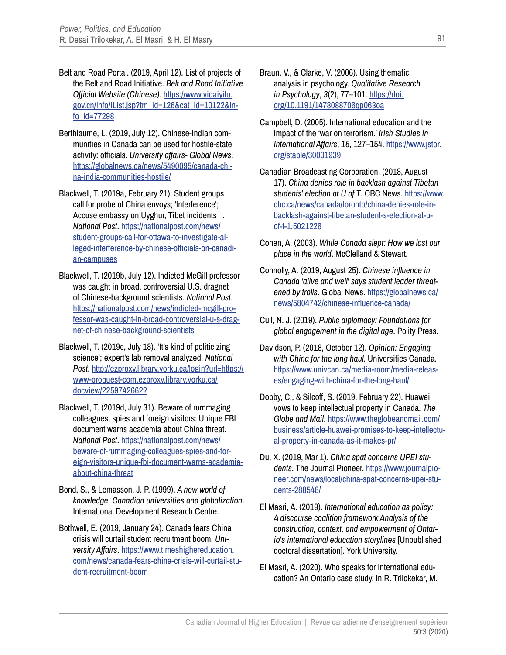- Belt and Road Portal. (2019, April 12). List of projects of the Belt and Road Initiative. *Belt and Road Initiative Official Website (Chinese)*. [https://www.yidaiyilu.](https://www.yidaiyilu.gov.cn/info/iList.jsp?tm_id=126&cat_id=10122&info_id=77298) [gov.cn/info/iList.jsp?tm\\_id=126&cat\\_id=10122&in](https://www.yidaiyilu.gov.cn/info/iList.jsp?tm_id=126&cat_id=10122&info_id=77298)[fo\\_id=77298](https://www.yidaiyilu.gov.cn/info/iList.jsp?tm_id=126&cat_id=10122&info_id=77298)
- Berthiaume, L. (2019, July 12). Chinese-Indian communities in Canada can be used for hostile-state activity: officials. *University affairs- Global News*. [https://globalnews.ca/news/5490095/canada-chi](https://globalnews.ca/news/5490095/canada-china-india-communities-hostile/)[na-india-communities-hostile/](https://globalnews.ca/news/5490095/canada-china-india-communities-hostile/)
- Blackwell, T. (2019a, February 21). Student groups call for probe of China envoys; 'Interference'; Accuse embassy on Uyghur, Tibet incidents . *National Post*. [https://nationalpost.com/news/](https://nationalpost.com/news/student-groups-call-for-ottawa-to-investigate-alleged-interference-by-chinese-officials-on-canadian-campuses) [student-groups-call-for-ottawa-to-investigate-al](https://nationalpost.com/news/student-groups-call-for-ottawa-to-investigate-alleged-interference-by-chinese-officials-on-canadian-campuses)[leged-interference-by-chinese-officials-on-canadi](https://nationalpost.com/news/student-groups-call-for-ottawa-to-investigate-alleged-interference-by-chinese-officials-on-canadian-campuses)[an-campuses](https://nationalpost.com/news/student-groups-call-for-ottawa-to-investigate-alleged-interference-by-chinese-officials-on-canadian-campuses)
- Blackwell, T. (2019b, July 12). Indicted McGill professor was caught in broad, controversial U.S. dragnet of Chinese-background scientists. *National Post*. [https://nationalpost.com/news/indicted-mcgill-pro](https://nationalpost.com/news/indicted-mcgill-professor-was-caught-in-broad-controversial-u-s-dragnet-of-chinese-background-scientists)[fessor-was-caught-in-broad-controversial-u-s-drag](https://nationalpost.com/news/indicted-mcgill-professor-was-caught-in-broad-controversial-u-s-dragnet-of-chinese-background-scientists)[net-of-chinese-background-scientists](https://nationalpost.com/news/indicted-mcgill-professor-was-caught-in-broad-controversial-u-s-dragnet-of-chinese-background-scientists)
- Blackwell, T. (2019c, July 18). 'It's kind of politicizing science'; expert's lab removal analyzed. *National Post*. [http://ezproxy.library.yorku.ca/login?url=https://](http://ezproxy.library.yorku.ca/login?url=https://www-proquest-com.ezproxy.library.yorku.ca/docview/2259742662?) [www-proquest-com.ezproxy.library.yorku.ca/](http://ezproxy.library.yorku.ca/login?url=https://www-proquest-com.ezproxy.library.yorku.ca/docview/2259742662?) [docview/2259742662?](http://ezproxy.library.yorku.ca/login?url=https://www-proquest-com.ezproxy.library.yorku.ca/docview/2259742662?)
- Blackwell, T. (2019d, July 31). Beware of rummaging colleagues, spies and foreign visitors: Unique FBI document warns academia about China threat. *National Post*. [https://nationalpost.com/news/](https://nationalpost.com/news/beware-of-rummaging-colleagues-spies-and-foreign-visitors-unique-fbi-document-warns-academia-about-china-threat) [beware-of-rummaging-colleagues-spies-and-for](https://nationalpost.com/news/beware-of-rummaging-colleagues-spies-and-foreign-visitors-unique-fbi-document-warns-academia-about-china-threat)[eign-visitors-unique-fbi-document-warns-academia](https://nationalpost.com/news/beware-of-rummaging-colleagues-spies-and-foreign-visitors-unique-fbi-document-warns-academia-about-china-threat)[about-china-threat](https://nationalpost.com/news/beware-of-rummaging-colleagues-spies-and-foreign-visitors-unique-fbi-document-warns-academia-about-china-threat)
- Bond, S., & Lemasson, J. P. (1999). *A new world of knowledge. Canadian universities and globalization*. International Development Research Centre.
- Bothwell, E. (2019, January 24). Canada fears China crisis will curtail student recruitment boom. *University Affairs*. [https://www.timeshighereducation.](https://www.timeshighereducation.com/news/canada-fears-china-crisis-will-curtail-student-recruitment-boom) [com/news/canada-fears-china-crisis-will-curtail-stu](https://www.timeshighereducation.com/news/canada-fears-china-crisis-will-curtail-student-recruitment-boom)[dent-recruitment-boom](https://www.timeshighereducation.com/news/canada-fears-china-crisis-will-curtail-student-recruitment-boom)
- Braun, V., & Clarke, V. (2006). Using thematic analysis in psychology. *Qualitative Research in Psychology*, *3*(2), 77–101. [https://doi.](https://doi.org/10.1191/1478088706qp063oa) [org/10.1191/1478088706qp063oa](https://doi.org/10.1191/1478088706qp063oa)
- Campbell, D. (2005). International education and the impact of the 'war on terrorism.' *Irish Studies in International Affairs*, *16*, 127–154. [https://www.jstor.](https://www.jstor.org/stable/30001939) [org/stable/30001939](https://www.jstor.org/stable/30001939)
- Canadian Broadcasting Corporation. (2018, August 17). *China denies role in backlash against Tibetan students' election at U of T*. CBC News. [https://www.](https://www.cbc.ca/news/canada/toronto/china-denies-role-in-backlash-against-tibetan-student-s-election-at-u-of-t-1.5021226) [cbc.ca/news/canada/toronto/china-denies-role-in](https://www.cbc.ca/news/canada/toronto/china-denies-role-in-backlash-against-tibetan-student-s-election-at-u-of-t-1.5021226)[backlash-against-tibetan-student-s-election-at-u](https://www.cbc.ca/news/canada/toronto/china-denies-role-in-backlash-against-tibetan-student-s-election-at-u-of-t-1.5021226)[of-t-1.5021226](https://www.cbc.ca/news/canada/toronto/china-denies-role-in-backlash-against-tibetan-student-s-election-at-u-of-t-1.5021226)
- Cohen, A. (2003). *While Canada slept: How we lost our place in the world*. McClelland & Stewart.
- Connolly, A. (2019, August 25). *Chinese influence in Canada 'alive and well' says student leader threatened by trolls*. Global News. [https://globalnews.ca/](https://globalnews.ca/news/5804742/chinese-influence-canada/) [news/5804742/chinese-influence-canada/](https://globalnews.ca/news/5804742/chinese-influence-canada/)
- Cull, N. J. (2019). *Public diplomacy: Foundations for global engagement in the digital age*. Polity Press.
- Davidson, P. (2018, October 12). *Opinion: Engaging with China for the long haul*. Universities Canada. [https://www.univcan.ca/media-room/media-releas](https://www.univcan.ca/media-room/media-releases/engaging-with-china-for-the-long-haul/)[es/engaging-with-china-for-the-long-haul/](https://www.univcan.ca/media-room/media-releases/engaging-with-china-for-the-long-haul/)
- Dobby, C., & Silcoff, S. (2019, February 22). Huawei vows to keep intellectual property in Canada. *The Globe and Mail*. [https://www.theglobeandmail.com/](https://www.theglobeandmail.com/business/article-huawei-promises-to-keep-intellectual-property-in-canada-as-it-makes-pr/) [business/article-huawei-promises-to-keep-intellectu](https://www.theglobeandmail.com/business/article-huawei-promises-to-keep-intellectual-property-in-canada-as-it-makes-pr/)[al-property-in-canada-as-it-makes-pr/](https://www.theglobeandmail.com/business/article-huawei-promises-to-keep-intellectual-property-in-canada-as-it-makes-pr/)
- Du, X. (2019, Mar 1). *China spat concerns UPEI students*. The Journal Pioneer. [https://www.journalpio](https://www.journalpioneer.com/news/local/china-spat-concerns-upei-students-288548/)[neer.com/news/local/china-spat-concerns-upei-stu](https://www.journalpioneer.com/news/local/china-spat-concerns-upei-students-288548/)[dents-288548/](https://www.journalpioneer.com/news/local/china-spat-concerns-upei-students-288548/)
- El Masri, A. (2019). *International education as policy: A discourse coalition framework Analysis of the construction, context, and empowerment of Ontario's international education storylines* [Unpublished doctoral dissertation]. York University.
- El Masri, A. (2020). Who speaks for international education? An Ontario case study. In R. Trilokekar, M.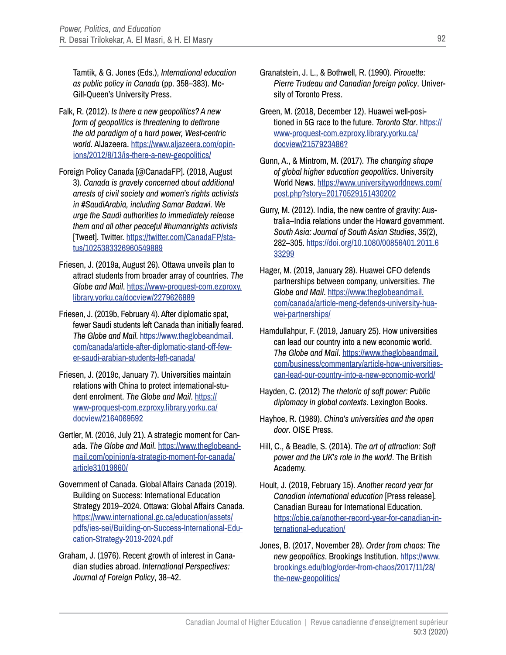Tamtik, & G. Jones (Eds.), *International education as public policy in Canada* (pp. 358–383). Mc-Gill-Queen's University Press.

- Falk, R. (2012). *Is there a new geopolitics? A new form of geopolitics is threatening to dethrone the old paradigm of a hard power, West-centric world*. AlJazeera. [https://www.aljazeera.com/opin](https://www.aljazeera.com/opinions/2012/8/13/is-there-a-new-geopolitics/)[ions/2012/8/13/is-there-a-new-geopolitics/](https://www.aljazeera.com/opinions/2012/8/13/is-there-a-new-geopolitics/)
- Foreign Policy Canada [@CanadaFP]. (2018, August 3). *Canada is gravely concerned about additional arrests of civil society and women's rights activists in #SaudiArabia, including Samar Badawi. We urge the Saudi authorities to immediately release them and all other peaceful #humanrights activists* [Tweet]. Twitter. [https://twitter.com/CanadaFP/sta](https://twitter.com/CanadaFP/status/1025383326960549889)[tus/1025383326960549889](https://twitter.com/CanadaFP/status/1025383326960549889)
- Friesen, J. (2019a, August 26). Ottawa unveils plan to attract students from broader array of countries. *The Globe and Mail*. [https://www-proquest-com.ezproxy.](https://www-proquest-com.ezproxy.library.yorku.ca/docview/2279626889) [library.yorku.ca/docview/2279626889](https://www-proquest-com.ezproxy.library.yorku.ca/docview/2279626889)
- Friesen, J. (2019b, February 4). After diplomatic spat, fewer Saudi students left Canada than initially feared. *The Globe and Mail*. [https://www.theglobeandmail.](https://www.theglobeandmail.com/canada/article-after-diplomatic-stand-off-fewer-saudi-arabian-students-left-canada/) [com/canada/article-after-diplomatic-stand-off-few](https://www.theglobeandmail.com/canada/article-after-diplomatic-stand-off-fewer-saudi-arabian-students-left-canada/)[er-saudi-arabian-students-left-canada/](https://www.theglobeandmail.com/canada/article-after-diplomatic-stand-off-fewer-saudi-arabian-students-left-canada/)
- Friesen, J. (2019c, January 7). Universities maintain relations with China to protect international-student enrolment. *The Globe and Mail*. [https://](https://www-proquest-com.ezproxy.library.yorku.ca/docview/2164069592) [www-proquest-com.ezproxy.library.yorku.ca/](https://www-proquest-com.ezproxy.library.yorku.ca/docview/2164069592) [docview/2164069592](https://www-proquest-com.ezproxy.library.yorku.ca/docview/2164069592)
- Gertler, M. (2016, July 21). A strategic moment for Canada. *The Globe and Mail*. [https://www.theglobeand](https://www.theglobeandmail.com/opinion/a-strategic-moment-for-canada/article31019860/)[mail.com/opinion/a-strategic-moment-for-canada/](https://www.theglobeandmail.com/opinion/a-strategic-moment-for-canada/article31019860/) [article31019860/](https://www.theglobeandmail.com/opinion/a-strategic-moment-for-canada/article31019860/)
- Government of Canada. Global Affairs Canada (2019). Building on Success: International Education Strategy 2019–2024. Ottawa: Global Affairs Canada. [https://www.international.gc.ca/education/assets/](https://www.international.gc.ca/education/assets/pdfs/ies-sei/Building-on-Success-International-Education-Strategy-2019-2024.pdf) [pdfs/ies-sei/Building-on-Success-International-Edu](https://www.international.gc.ca/education/assets/pdfs/ies-sei/Building-on-Success-International-Education-Strategy-2019-2024.pdf)[cation-Strategy-2019-2024.pdf](https://www.international.gc.ca/education/assets/pdfs/ies-sei/Building-on-Success-International-Education-Strategy-2019-2024.pdf)
- Graham, J. (1976). Recent growth of interest in Canadian studies abroad. *International Perspectives: Journal of Foreign Policy*, 38–42.
- Granatstein, J. L., & Bothwell, R. (1990). *Pirouette: Pierre Trudeau and Canadian foreign policy*. University of Toronto Press.
- Green, M. (2018, December 12). Huawei well-positioned in 5G race to the future. *Toronto Star*. [https://](https://www-proquest-com.ezproxy.library.yorku.ca/docview/2157923486?) [www-proquest-com.ezproxy.library.yorku.ca/](https://www-proquest-com.ezproxy.library.yorku.ca/docview/2157923486?) [docview/2157923486?](https://www-proquest-com.ezproxy.library.yorku.ca/docview/2157923486?)
- Gunn, A., & Mintrom, M. (2017). *The changing shape of global higher education geopolitics*. University World News. [https://www.universityworldnews.com/](https://www.universityworldnews.com/post.php?story=20170529151430202) [post.php?story=20170529151430202](https://www.universityworldnews.com/post.php?story=20170529151430202)
- Gurry, M. (2012). India, the new centre of gravity: Australia–India relations under the Howard government. *South Asia: Journal of South Asian Studies*, *35*(2), 282–305. [https://doi.org/10.1080/00856401.2011.6](https://doi.org/10.1080/00856401.2011.633299) [33299](https://doi.org/10.1080/00856401.2011.633299)
- Hager, M. (2019, January 28). Huawei CFO defends partnerships between company, universities. *The Globe and Mail*. [https://www.theglobeandmail.](https://www.theglobeandmail.com/canada/article-meng-defends-university-huawei-partnerships/) [com/canada/article-meng-defends-university-hua](https://www.theglobeandmail.com/canada/article-meng-defends-university-huawei-partnerships/)[wei-partnerships/](https://www.theglobeandmail.com/canada/article-meng-defends-university-huawei-partnerships/)
- Hamdullahpur, F. (2019, January 25). How universities can lead our country into a new economic world. *The Globe and Mail*. [https://www.theglobeandmail.](https://www.theglobeandmail.com/business/commentary/article-how-universities-can-lead-our-country-into-a-new-economic-world/) [com/business/commentary/article-how-universities](https://www.theglobeandmail.com/business/commentary/article-how-universities-can-lead-our-country-into-a-new-economic-world/)[can-lead-our-country-into-a-new-economic-world/](https://www.theglobeandmail.com/business/commentary/article-how-universities-can-lead-our-country-into-a-new-economic-world/)
- Hayden, C. (2012) *The rhetoric of soft power: Public diplomacy in global contexts*. Lexington Books.
- Hayhoe, R. (1989). *China's universities and the open door*. OISE Press.
- Hill, C., & Beadle, S. (2014). *The art of attraction: Soft power and the UK's role in the world*. The British Academy.
- Hoult, J. (2019, February 15). *Another record year for Canadian international education* [Press release]. Canadian Bureau for International Education. [https://cbie.ca/another-record-year-for-canadian-in](https://cbie.ca/another-record-year-for-canadian-international-education/)[ternational-education/](https://cbie.ca/another-record-year-for-canadian-international-education/)
- Jones, B. (2017, November 28). *Order from chaos: The new geopolitics*. Brookings Institution. [https://www.](https://www.brookings.edu/blog/order-from-chaos/2017/11/28/the-new-geopolitics/) [brookings.edu/blog/order-from-chaos/2017/11/28/](https://www.brookings.edu/blog/order-from-chaos/2017/11/28/the-new-geopolitics/) [the-new-geopolitics/](https://www.brookings.edu/blog/order-from-chaos/2017/11/28/the-new-geopolitics/)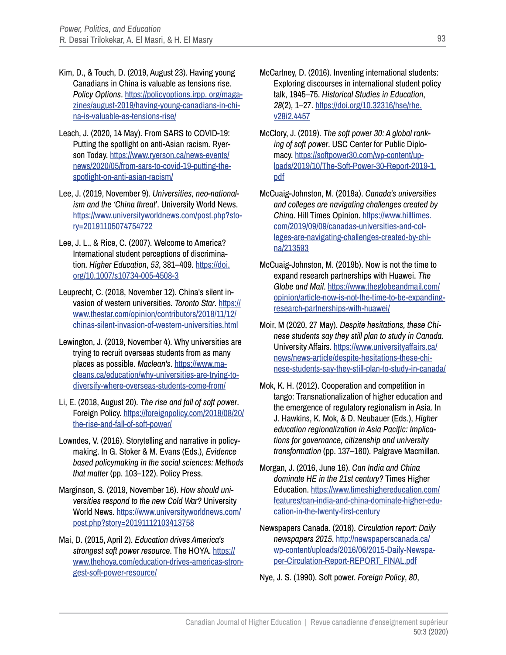- Kim, D., & Touch, D. (2019, August 23). Having young Canadians in China is valuable as tensions rise. *Policy Options*. [https://policyoptions.irpp. org/maga](https://policyoptions.irpp. org/magazines/august-2019/having-young-canadians-in-china-is-valuable-as-tensions-rise/)[zines/august-2019/having-young-canadians-in-chi](https://policyoptions.irpp. org/magazines/august-2019/having-young-canadians-in-china-is-valuable-as-tensions-rise/)[na-is-valuable-as-tensions-rise/](https://policyoptions.irpp. org/magazines/august-2019/having-young-canadians-in-china-is-valuable-as-tensions-rise/)
- Leach, J. (2020, 14 May). From SARS to COVID-19: Putting the spotlight on anti-Asian racism. Ryerson Today. [https://www.ryerson.ca/news-events/](https://www.ryerson.ca/news-events/news/2020/05/from-sars-to-covid-19-putting-the-spotlight-on-anti-asian-racism/) [news/2020/05/from-sars-to-covid-19-putting-the](https://www.ryerson.ca/news-events/news/2020/05/from-sars-to-covid-19-putting-the-spotlight-on-anti-asian-racism/)[spotlight-on-anti-asian-racism/](https://www.ryerson.ca/news-events/news/2020/05/from-sars-to-covid-19-putting-the-spotlight-on-anti-asian-racism/)
- Lee, J. (2019, November 9). *Universities, neo-nationalism and the 'China threat'*. University World News. [https://www.universityworldnews.com/post.php?sto](https://www.universityworldnews.com/post.php?story=20191105074754722)[ry=20191105074754722](https://www.universityworldnews.com/post.php?story=20191105074754722)
- Lee, J. L., & Rice, C. (2007). Welcome to America? International student perceptions of discrimination. *Higher Education*, *53*, 381–409. [https://doi.](https://doi.org/10.1007/s10734-005-4508-3) [org/10.1007/s10734-005-4508-3](https://doi.org/10.1007/s10734-005-4508-3)
- Leuprecht, C. (2018, November 12). China's silent invasion of western universities. *Toronto Star*. [https://](https://www.thestar.com/opinion/contributors/2018/11/12/chinas-silent-invasion-of-western-universities.html) [www.thestar.com/opinion/contributors/2018/11/12/](https://www.thestar.com/opinion/contributors/2018/11/12/chinas-silent-invasion-of-western-universities.html) [chinas-silent-invasion-of-western-universities.html](https://www.thestar.com/opinion/contributors/2018/11/12/chinas-silent-invasion-of-western-universities.html)
- Lewington, J. (2019, November 4). Why universities are trying to recruit overseas students from as many places as possible. *Maclean's*. [https://www.ma](https://www.macleans.ca/education/why-universities-are-trying-to-diversify-where-overseas-students-come-from/)[cleans.ca/education/why-universities-are-trying-to](https://www.macleans.ca/education/why-universities-are-trying-to-diversify-where-overseas-students-come-from/)[diversify-where-overseas-students-come-from/](https://www.macleans.ca/education/why-universities-are-trying-to-diversify-where-overseas-students-come-from/)
- Li, E. (2018, August 20). *The rise and fall of soft power*. Foreign Policy. [https://foreignpolicy.com/2018/08/20/](https://foreignpolicy.com/2018/08/20/the-rise-and-fall-of-soft-power/) [the-rise-and-fall-of-soft-power/](https://foreignpolicy.com/2018/08/20/the-rise-and-fall-of-soft-power/)
- Lowndes, V. (2016). Storytelling and narrative in policymaking. In G. Stoker & M. Evans (Eds.), *Evidence based policymaking in the social sciences: Methods that matter* (pp. 103–122). Policy Press.
- Marginson, S. (2019, November 16). *How should universities respond to the new Cold War?* University World News. [https://www.universityworldnews.com/](https://www.universityworldnews.com/post.php?story=20191112103413758) [post.php?story=20191112103413758](https://www.universityworldnews.com/post.php?story=20191112103413758)
- Mai, D. (2015, April 2). *Education drives America's strongest soft power resource*. The HOYA. [https://](https://www.thehoya.com/education-drives-americas-strongest-soft-power-resource/) [www.thehoya.com/education-drives-americas-stron](https://www.thehoya.com/education-drives-americas-strongest-soft-power-resource/)[gest-soft-power-resource/](https://www.thehoya.com/education-drives-americas-strongest-soft-power-resource/)
- McCartney, D. (2016). Inventing international students: Exploring discourses in international student policy talk, 1945–75. *Historical Studies in Education*, *28*(2), 1–27. [https://doi.org/10.32316/hse/rhe.](https://doi.org/10.32316/hse/rhe.v28i2.4457) [v28i2.4457](https://doi.org/10.32316/hse/rhe.v28i2.4457)
- McClory, J. (2019). *The soft power 30: A global ranking of soft power*. USC Center for Public Diplomacy. [https://softpower30.com/wp-content/up](https://softpower30.com/wp-content/uploads/2019/10/The-Soft-Power-30-Report-2019-1.pdf)[loads/2019/10/The-Soft-Power-30-Report-2019-1.](https://softpower30.com/wp-content/uploads/2019/10/The-Soft-Power-30-Report-2019-1.pdf) [pdf](https://softpower30.com/wp-content/uploads/2019/10/The-Soft-Power-30-Report-2019-1.pdf)
- McCuaig-Johnston, M. (2019a). *Canada's universities and colleges are navigating challenges created by China*. Hill Times Opinion. [https://www.hilltimes.](https://www.hilltimes.com/2019/09/09/canadas-universities-and-colleges-are-navigating-challenges-created-by-china/213593) [com/2019/09/09/canadas-universities-and-col](https://www.hilltimes.com/2019/09/09/canadas-universities-and-colleges-are-navigating-challenges-created-by-china/213593)[leges-are-navigating-challenges-created-by-chi](https://www.hilltimes.com/2019/09/09/canadas-universities-and-colleges-are-navigating-challenges-created-by-china/213593)[na/213593](https://www.hilltimes.com/2019/09/09/canadas-universities-and-colleges-are-navigating-challenges-created-by-china/213593)
- McCuaig-Johnston, M. (2019b). Now is not the time to expand research partnerships with Huawei. *The Globe and Mail*. [https://www.theglobeandmail.com/](https://www.theglobeandmail.com/opinion/article-now-is-not-the-time-to-be-expanding-research-partnerships-with-huawei/) [opinion/article-now-is-not-the-time-to-be-expanding](https://www.theglobeandmail.com/opinion/article-now-is-not-the-time-to-be-expanding-research-partnerships-with-huawei/)[research-partnerships-with-huawei/](https://www.theglobeandmail.com/opinion/article-now-is-not-the-time-to-be-expanding-research-partnerships-with-huawei/)
- Moir, M (2020, 27 May). *Despite hesitations, these Chinese students say they still plan to study in Canada*. University Affairs. [https://www.universityaffairs.ca/](https://www.universityaffairs.ca/news/news-article/despite-hesitations-these-chinese-students-say-they-still-plan-to-study-in-canada/ ) [news/news-article/despite-hesitations-these-chi](https://www.universityaffairs.ca/news/news-article/despite-hesitations-these-chinese-students-say-they-still-plan-to-study-in-canada/ )[nese-students-say-they-still-plan-to-study-in-canada/](https://www.universityaffairs.ca/news/news-article/despite-hesitations-these-chinese-students-say-they-still-plan-to-study-in-canada/ )
- Mok, K. H. (2012). Cooperation and competition in tango: Transnationalization of higher education and the emergence of regulatory regionalism in Asia. In J. Hawkins, K. Mok, & D. Neubauer (Eds.), *Higher education regionalization in Asia Pacific: Implications for governance, citizenship and university transformation* (pp. 137–160). Palgrave Macmillan.
- Morgan, J. (2016, June 16). *Can India and China dominate HE in the 21st century?* Times Higher Education. [https://www.timeshighereducation.com/](https://www.timeshighereducation.com/features/can-india-and-china-dominate-higher-education-in-the-twenty-first-century) [features/can-india-and-china-dominate-higher-edu](https://www.timeshighereducation.com/features/can-india-and-china-dominate-higher-education-in-the-twenty-first-century)[cation-in-the-twenty-first-century](https://www.timeshighereducation.com/features/can-india-and-china-dominate-higher-education-in-the-twenty-first-century)
- Newspapers Canada. (2016). *Circulation report: Daily newspapers 2015*. [http://newspaperscanada.ca/](http://newspaperscanada.ca/wp-content/uploads/2016/06/2015-Daily-Newspaper-Circulation-Report-REPORT_FINAL.pdf) [wp-content/uploads/2016/06/2015-Daily-Newspa](http://newspaperscanada.ca/wp-content/uploads/2016/06/2015-Daily-Newspaper-Circulation-Report-REPORT_FINAL.pdf)[per-Circulation-Report-REPORT\\_FINAL.pdf](http://newspaperscanada.ca/wp-content/uploads/2016/06/2015-Daily-Newspaper-Circulation-Report-REPORT_FINAL.pdf)

Nye, J. S. (1990). Soft power. *Foreign Policy*, *80*,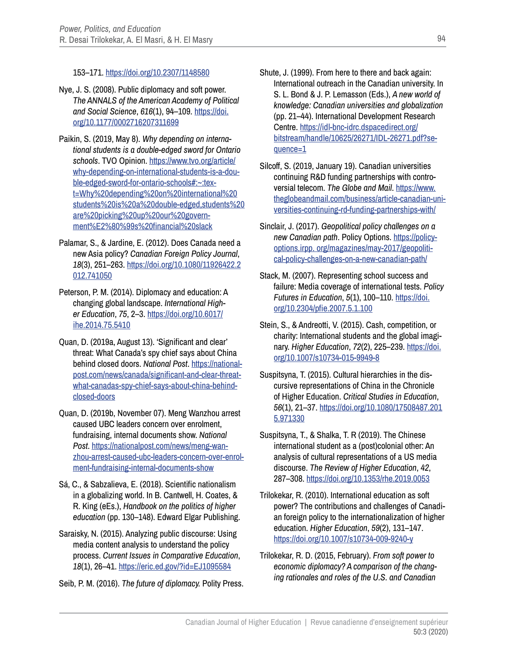### 153–171. <https://doi.org/10.2307/1148580>

- Nye, J. S. (2008). Public diplomacy and soft power. *The ANNALS of the American Academy of Political and Social Science*, *616*(1), 94–109. [https://doi.](https://doi.org/10.1177/0002716207311699) [org/10.1177/0002716207311699](https://doi.org/10.1177/0002716207311699)
- Paikin, S. (2019, May 8). *Why depending on international students is a double-edged sword for Ontario schools*. TVO Opinion. [https://www.tvo.org/article/](https://www.tvo.org/article/why-depending-on-international-students-is-a-double-edged-sword-for-ontario-schools#:~:text=Why%20depending%20on%20international%20students%20is%20a%20double-edged,students%20are%20picking%20up%20our%20government%E2%80%99s%20fi) [why-depending-on-international-students-is-a-dou](https://www.tvo.org/article/why-depending-on-international-students-is-a-double-edged-sword-for-ontario-schools#:~:text=Why%20depending%20on%20international%20students%20is%20a%20double-edged,students%20are%20picking%20up%20our%20government%E2%80%99s%20fi)[ble-edged-sword-for-ontario-schools#:~:tex](https://www.tvo.org/article/why-depending-on-international-students-is-a-double-edged-sword-for-ontario-schools#:~:text=Why%20depending%20on%20international%20students%20is%20a%20double-edged,students%20are%20picking%20up%20our%20government%E2%80%99s%20fi)[t=Why%20depending%20on%20international%20](https://www.tvo.org/article/why-depending-on-international-students-is-a-double-edged-sword-for-ontario-schools#:~:text=Why%20depending%20on%20international%20students%20is%20a%20double-edged,students%20are%20picking%20up%20our%20government%E2%80%99s%20fi) [students%20is%20a%20double-edged,students%20](https://www.tvo.org/article/why-depending-on-international-students-is-a-double-edged-sword-for-ontario-schools#:~:text=Why%20depending%20on%20international%20students%20is%20a%20double-edged,students%20are%20picking%20up%20our%20government%E2%80%99s%20fi) [are%20picking%20up%20our%20govern](https://www.tvo.org/article/why-depending-on-international-students-is-a-double-edged-sword-for-ontario-schools#:~:text=Why%20depending%20on%20international%20students%20is%20a%20double-edged,students%20are%20picking%20up%20our%20government%E2%80%99s%20fi)[ment%E2%80%99s%20financial%20slack](https://www.tvo.org/article/why-depending-on-international-students-is-a-double-edged-sword-for-ontario-schools#:~:text=Why%20depending%20on%20international%20students%20is%20a%20double-edged,students%20are%20picking%20up%20our%20government%E2%80%99s%20fi)
- Palamar, S., & Jardine, E. (2012). Does Canada need a new Asia policy? *Canadian Foreign Policy Journal*, *18*(3), 251–263. [https://doi.org/10.1080/11926422.2](https://doi.org/10.1080/11926422.2012.741050) [012.741050](https://doi.org/10.1080/11926422.2012.741050)
- Peterson, P. M. (2014). Diplomacy and education: A changing global landscape. *International Higher Education*, *75*, 2–3. [https://doi.org/10.6017/](https://doi.org/10.6017/ihe.2014.75.5410) [ihe.2014.75.5410](https://doi.org/10.6017/ihe.2014.75.5410)
- Quan, D. (2019a, August 13). 'Significant and clear' threat: What Canada's spy chief says about China behind closed doors. *National Post*. [https://national](https://nationalpost.com/news/canada/significant-and-clear-threat-what-canadas-spy-chief-says-about-china-behind-closed-doors)[post.com/news/canada/significant-and-clear-threat](https://nationalpost.com/news/canada/significant-and-clear-threat-what-canadas-spy-chief-says-about-china-behind-closed-doors)[what-canadas-spy-chief-says-about-china-behind](https://nationalpost.com/news/canada/significant-and-clear-threat-what-canadas-spy-chief-says-about-china-behind-closed-doors)[closed-doors](https://nationalpost.com/news/canada/significant-and-clear-threat-what-canadas-spy-chief-says-about-china-behind-closed-doors)
- Quan, D. (2019b, November 07). Meng Wanzhou arrest caused UBC leaders concern over enrolment, fundraising, internal documents show. *National Post*. [https://nationalpost.com/news/meng-wan](https://nationalpost.com/news/meng-wanzhou-arrest-caused-ubc-leaders-concern-over-enrolment-fundraising-internal-documents-show)[zhou-arrest-caused-ubc-leaders-concern-over-enrol](https://nationalpost.com/news/meng-wanzhou-arrest-caused-ubc-leaders-concern-over-enrolment-fundraising-internal-documents-show)[ment-fundraising-internal-documents-show](https://nationalpost.com/news/meng-wanzhou-arrest-caused-ubc-leaders-concern-over-enrolment-fundraising-internal-documents-show)
- Sá, C., & Sabzalieva, E. (2018). Scientific nationalism in a globalizing world. In B. Cantwell, H. Coates, & R. King (eEs.), *Handbook on the politics of higher education* (pp. 130–148). Edward Elgar Publishing.
- Saraisky, N. (2015). Analyzing public discourse: Using media content analysis to understand the policy process. *Current Issues in Comparative Education*, *18*(1), 26–41. <https://eric.ed.gov/?id=EJ1095584>
- Seib, P. M. (2016). *The future of diplomacy.* Polity Press.
- Shute, J. (1999). From here to there and back again: International outreach in the Canadian university. In S. L. Bond & J. P. Lemasson (Eds.), *A new world of knowledge: Canadian universities and globalization* (pp. 21–44). International Development Research Centre. [https://idl-bnc-idrc.dspacedirect.org/](https://idl-bnc-idrc.dspacedirect.org/bitstream/handle/10625/26271/IDL-26271.pdf?sequence=1) [bitstream/handle/10625/26271/IDL-26271.pdf?se](https://idl-bnc-idrc.dspacedirect.org/bitstream/handle/10625/26271/IDL-26271.pdf?sequence=1)[quence=1](https://idl-bnc-idrc.dspacedirect.org/bitstream/handle/10625/26271/IDL-26271.pdf?sequence=1)
- Silcoff, S. (2019, January 19). Canadian universities continuing R&D funding partnerships with controversial telecom. *The Globe and Mail*. [https://www.](https://www.theglobeandmail.com/business/article-canadian-universities-continuing-rd-funding-partnerships-with/) [theglobeandmail.com/business/article-canadian-uni](https://www.theglobeandmail.com/business/article-canadian-universities-continuing-rd-funding-partnerships-with/)[versities-continuing-rd-funding-partnerships-with/](https://www.theglobeandmail.com/business/article-canadian-universities-continuing-rd-funding-partnerships-with/)
- Sinclair, J. (2017). *Geopolitical policy challenges on a new Canadian path*. Policy Options. [https://policy](https://policyoptions.irpp. org/magazines/may-2017/geopolitical-policy-challenges-on-a-new-canadian-path/)[options.irpp. org/magazines/may-2017/geopoliti](https://policyoptions.irpp. org/magazines/may-2017/geopolitical-policy-challenges-on-a-new-canadian-path/)[cal-policy-challenges-on-a-new-canadian-path/](https://policyoptions.irpp. org/magazines/may-2017/geopolitical-policy-challenges-on-a-new-canadian-path/)
- Stack, M. (2007). Representing school success and failure: Media coverage of international tests. *Policy Futures in Education*, *5*(1), 100–110. [https://doi.](https://doi.org/10.2304/pfie.2007.5.1.100) [org/10.2304/pfie.2007.5.1.100](https://doi.org/10.2304/pfie.2007.5.1.100)
- Stein, S., & Andreotti, V. (2015). Cash, competition, or charity: International students and the global imaginary. *Higher Education*, *72*(2), 225–239. [https://doi.](https://doi.org/10.1007/s10734-015-9949-8) [org/10.1007/s10734-015-9949-8](https://doi.org/10.1007/s10734-015-9949-8)
- Suspitsyna, T. (2015). Cultural hierarchies in the discursive representations of China in the Chronicle of Higher Education. *Critical Studies in Education*, *56*(1), 21–37. [https://doi.org/10.1080/17508487.201](https://doi.org/10.1080/17508487.2015.971330) [5.971330](https://doi.org/10.1080/17508487.2015.971330)
- Suspitsyna, T., & Shalka, T. R (2019). The Chinese international student as a (post)colonial other: An analysis of cultural representations of a US media discourse. *The Review of Higher Education*, *42*, 287–308. <https://doi.org/10.1353/rhe.2019.0053>
- Trilokekar, R. (2010). International education as soft power? The contributions and challenges of Canadian foreign policy to the internationalization of higher education. *Higher Education*, *59*(2), 131–147. <https://doi.org/10.1007/s10734-009-9240-y>
- Trilokekar, R. D. (2015, February). *From soft power to economic diplomacy? A comparison of the changing rationales and roles of the U.S. and Canadian*